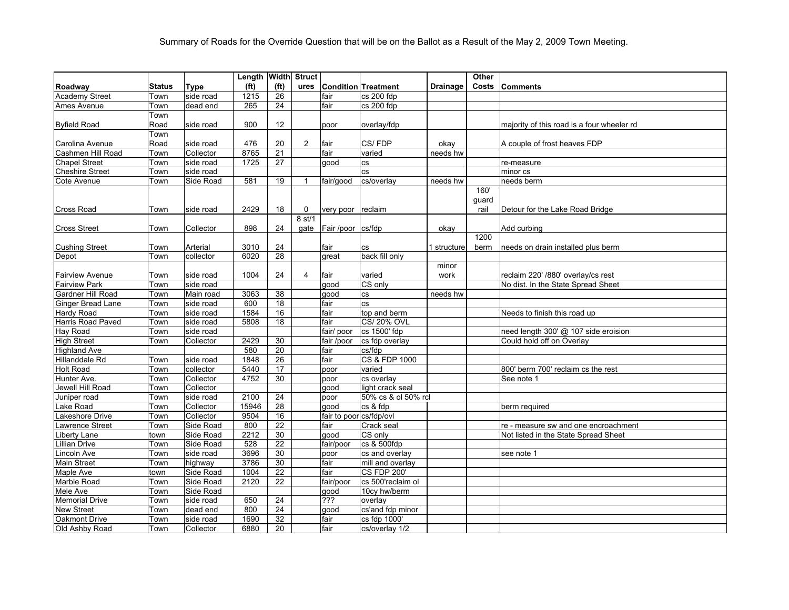|                        |               |             | Length Width Struct |                   |                |                         |                            |                 | Other |                                            |
|------------------------|---------------|-------------|---------------------|-------------------|----------------|-------------------------|----------------------------|-----------------|-------|--------------------------------------------|
| Roadway                | <b>Status</b> | <b>Type</b> | (f <sup>t</sup> )   | (f <sup>t</sup> ) | ures           |                         | <b>Condition Treatment</b> | <b>Drainage</b> | Costs | Comments                                   |
| <b>Academy Street</b>  | Town          | side road   | 1215                | 26                |                | fair                    | cs 200 fdp                 |                 |       |                                            |
| Ames Avenue            | Town          | dead end    | 265                 | 24                |                | fair                    | cs 200 fdp                 |                 |       |                                            |
|                        | Town          |             |                     |                   |                |                         |                            |                 |       |                                            |
| <b>Byfield Road</b>    | Road          | side road   | 900                 | 12 <sup>°</sup>   |                | poor                    | overlay/fdp                |                 |       | majority of this road is a four wheeler rd |
|                        | Town          |             |                     |                   |                |                         |                            |                 |       |                                            |
| Carolina Avenue        | Road          | side road   | 476                 | 20                | $\overline{2}$ | fair                    | CS/FDP                     | okay            |       | A couple of frost heaves FDP               |
| Cashmen Hill Road      | Town          | Collector   | 8765                | 21                |                | fair                    | varied                     | needs hw        |       |                                            |
| <b>Chapel Street</b>   | Town          | side road   | 1725                | $\overline{27}$   |                | qood                    | <b>CS</b>                  |                 |       | re-measure                                 |
| <b>Cheshire Street</b> | Town          | side road   |                     |                   |                |                         | <b>CS</b>                  |                 |       | minor cs                                   |
| Cote Avenue            | Town          | Side Road   | 581                 | 19                | $\mathbf{1}$   | fair/good               | cs/overlay                 | needs hw        |       | needs berm                                 |
|                        |               |             |                     |                   |                |                         |                            |                 | 160'  |                                            |
|                        |               |             |                     |                   |                |                         |                            |                 | guard |                                            |
| <b>Cross Road</b>      | Town          | side road   | 2429                | 18                | 0              | very poor reclaim       |                            |                 | rail  | Detour for the Lake Road Bridge            |
|                        |               |             |                     |                   | 8 st/1         |                         |                            |                 |       |                                            |
| <b>Cross Street</b>    | Town          | Collector   | 898                 | 24                | gate           | Fair /poor cs/fdp       |                            | okay            |       | Add curbing                                |
|                        |               |             |                     |                   |                |                         |                            |                 | 1200  |                                            |
| <b>Cushing Street</b>  | Town          | Arterial    | 3010                | 24                |                | fair                    | <b>CS</b>                  | 1 structure     | berm  | needs on drain installed plus berm         |
| Depot                  | Town          | collector   | 6020                | 28                |                | qreat                   | back fill only             |                 |       |                                            |
|                        |               |             |                     |                   |                |                         |                            | minor           |       |                                            |
| <b>Fairview Avenue</b> | Town          | side road   | 1004                | 24                | $\overline{4}$ | fair                    | varied                     | work            |       | reclaim 220' /880' overlay/cs rest         |
| <b>Fairview Park</b>   | Town          | side road   |                     |                   |                | qood                    | CS only                    |                 |       | No dist. In the State Spread Sheet         |
| Gardner Hill Road      | Town          | Main road   | 3063                | 38                |                | good                    | <b>CS</b>                  | needs hw        |       |                                            |
| Ginger Bread Lane      | Town          | side road   | 600                 | 18                |                | fair                    | <b>CS</b>                  |                 |       |                                            |
| Hardy Road             | Town          | side road   | 1584                | 16                |                | fair                    | top and berm               |                 |       | Needs to finish this road up               |
| Harris Road Paved      | Town          | side road   | 5808                | 18                |                | fair                    | CS/20% OVL                 |                 |       |                                            |
| <b>Hay Road</b>        | Town          | side road   |                     |                   |                | fair/ poor              | cs 1500' fdp               |                 |       | need length 300' @ 107 side eroision       |
| <b>High Street</b>     | Town          | Collector   | 2429                | 30                |                | fair /poor              | cs fdp overlay             |                 |       | Could hold off on Overlay                  |
| <b>Highland Ave</b>    |               |             | 580                 | $\overline{20}$   |                | fair                    | cs/fdp                     |                 |       |                                            |
| Hillanddale Rd         | Town          | side road   | 1848                | 26                |                | fair                    | <b>CS &amp; FDP 1000</b>   |                 |       |                                            |
| <b>Holt Road</b>       | Town          | collector   | 5440                | 17                |                | poor                    | varied                     |                 |       | 800' berm 700' reclaim cs the rest         |
| Hunter Ave.            | Town          | Collector   | 4752                | 30                |                | poor                    | cs overlay                 |                 |       | See note 1                                 |
| Jewell Hill Road       | Town          | Collector   |                     |                   |                | good                    | light crack seal           |                 |       |                                            |
| Juniper road           | Town          | side road   | 2100                | 24                |                | poor                    | 50% cs & ol 50% rcl        |                 |       |                                            |
| Lake Road              | Town          | Collector   | 15946               | 28                |                | aood                    | cs & fdp                   |                 |       | berm required                              |
| Lakeshore Drive        | Town          | Collector   | 9504                | 16                |                | fair to poor cs/fdp/ovl |                            |                 |       |                                            |
| Lawrence Street        | Town          | Side Road   | 800                 | 22                |                | fair                    | Crack seal                 |                 |       | re - measure sw and one encroachment       |
| Liberty Lane           | town          | Side Road   | 2212                | 30                |                | qood                    | CS only                    |                 |       | Not listed in the State Spread Sheet       |
| Lillian Drive          | Town          | Side Road   | 528                 | 22                |                | fair/poor               | cs & 500fdp                |                 |       |                                            |
| incoln Ave             | Town          | side road   | 3696                | 30                |                | poor                    | cs and overlay             |                 |       | see note 1                                 |
| Main Street            | Town          | highway     | 3786                | 30                |                | fair                    | mill and overlay           |                 |       |                                            |
| Maple Ave              | town          | Side Road   | 1004                | 22                |                | fair                    | <b>CS FDP 200'</b>         |                 |       |                                            |
| Marble Road            | Town          | Side Road   | 2120                | $\overline{22}$   |                | fair/poor               | cs 500'reclaim ol          |                 |       |                                            |
| Mele Ave               | Town          | Side Road   |                     |                   |                | good                    | 10cy hw/berm               |                 |       |                                            |
| <b>Memorial Drive</b>  | Town          | side road   | 650                 | 24                |                | $\overline{??'}$        | overlay                    |                 |       |                                            |
| <b>New Street</b>      | Town          | dead end    | 800                 | $\overline{24}$   |                | qood                    | cs'and fdp minor           |                 |       |                                            |
| Oakmont Drive          | Town          | side road   | 1690                | 32                |                | fair                    | cs fdp 1000'               |                 |       |                                            |
| Old Ashby Road         | Town          | Collector   | 6880                | 20                |                | fair                    | cs/overlay 1/2             |                 |       |                                            |